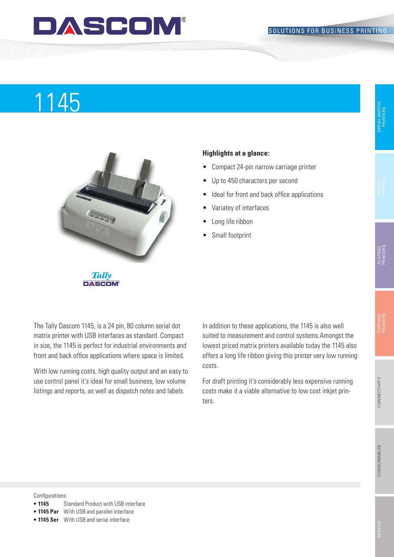### DASCOM

# Produktname 1145



#### **Highlights at a glance:**

- • Compact 24-pin narrow carriage printer
- • Up to 450 characters per second
- Ideal for front and back office applications
- • Variatey of interfaces
- Long life ribbon
- Small footprint

**DASCOM** 

The Tally Dascom 1145, is a 24 pin, 80 column serial dot matrix printer with USB interfaces as standard. Compact in size, the 1145 is perfect for industrial environments and front and back office applications where space is limited.

With low running costs, high quality output and an easy to use control panel it's ideal for small business, low volume listings and reports, as well as dispatch notes and labels.

In addition to these applications, the 1145 is also well suited to measurement and control systems.Amongst the lowest priced matrix printers available today the 1145 also offers a long life ribbon giving this printer very low running costs.

For draft printing it's considerably less expensive running costs make it a viable alternative to low cost inkjet printers.

Configurations:

- **1145** Standard Product with USB interface
- **• 1145 Par** With USB and parallel interface
- **• 1145 Ser** With USB and serial interface